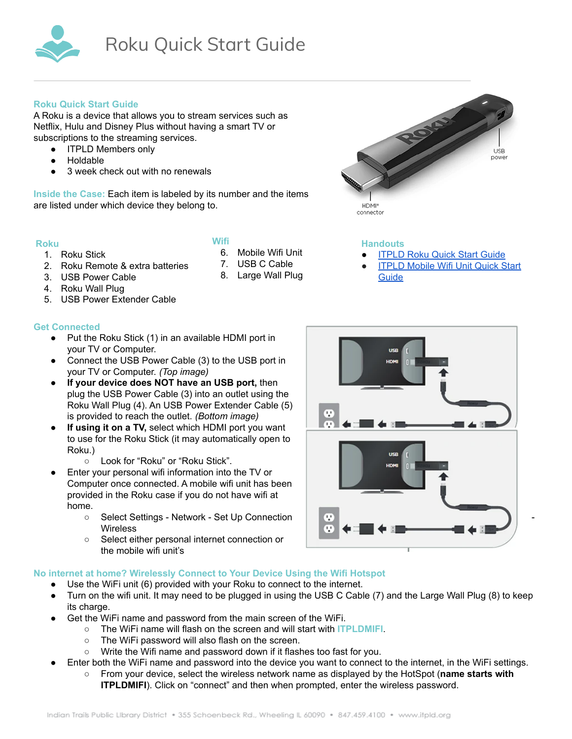

# **Roku Quick Start Guide**

A Roku is a device that allows you to stream services such as Netflix, Hulu and Disney Plus without having a smart TV or subscriptions to the streaming services.

- ITPLD Members only
- **Holdable**
- 3 week check out with no renewals

**Inside the Case:** Each item is labeled by its number and the items are listed under which device they belong to.

## **Roku**

- 1. Roku Stick
- 2. Roku Remote & extra batteries
- **Wifi** 6. Mobile Wifi Unit
- 7. USB C Cable
	- 8. Large Wall Plug
- 3. USB Power Cable 4. Roku Wall Plug
- 5. USB Power Extender Cable

# **Get Connected**

- Put the Roku Stick (1) in an available HDMI port in your TV or Computer.
- Connect the USB Power Cable (3) to the USB port in your TV or Computer. *(Top image)*
- **If your device does NOT have an USB port,** then plug the USB Power Cable (3) into an outlet using the Roku Wall Plug (4). An USB Power Extender Cable (5) is provided to reach the outlet. *(Bottom image)*
- **If using it on a TV,** select which HDMI port you want to use for the Roku Stick (it may automatically open to Roku.)
	- Look for "Roku" or "Roku Stick".
- Enter your personal wifi information into the TV or Computer once connected. A mobile wifi unit has been provided in the Roku case if you do not have wifi at home.
	- Select Settings Network Set Up Connection **Wireless**
	- Select either personal internet connection or the mobile wifi unit's

# **No internet at home? Wirelessly Connect to Your Device Using the Wifi Hotspot**

- Use the WiFi unit (6) provided with your Roku to connect to the internet.
- Turn on the wifi unit. It may need to be plugged in using the USB C Cable (7) and the Large Wall Plug (8) to keep its charge.
- Get the WiFi name and password from the main screen of the WiFi.
	- The WiFi name will flash on the screen and will start with **ITPLDMIFI**.
	- The WiFi password will also flash on the screen.
	- Write the Wifi name and password down if it flashes too fast for you.
- Enter both the WiFi name and password into the device you want to connect to the internet, in the WiFi settings.
	- From your device, select the wireless network name as displayed by the HotSpot (**name starts with ITPLDMIFI**). Click on "connect" and then when prompted, enter the wireless password.



# **Handouts**

- **[ITPLD](https://docs.google.com/document/d/16F-3VTAPdNPyN8CcuPpZZ43Y0r2KMmJZnMlVKtwcHeY/edit) Roku Quick Start Guide**
- **ITPLD [Mobile](https://docs.google.com/document/d/10U6XbBARiU3D268jXA5r8inxO8MYAVkOZKUoRwuEsyc/edit) Wifi Unit Quick Start [Guide](https://docs.google.com/document/d/10U6XbBARiU3D268jXA5r8inxO8MYAVkOZKUoRwuEsyc/edit)**